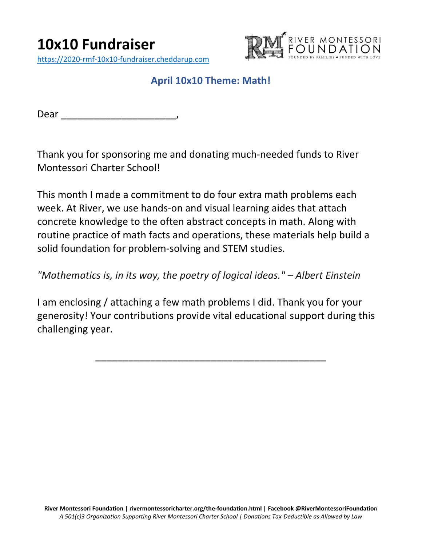

## **April 10x10 Theme: Math!**

Dear \_\_\_\_\_\_\_\_\_\_\_\_

Thank you for sponsoring me and donating much-needed funds to River Montessori Charter School!

This month I made a commitment to do four extra math problems each week. At River, we use hands-on and visual learning aides that attach concrete knowledge to the often abstract concepts in math. Along with routine practice of math facts and operations, these materials help build a solid foundation for problem-solving and STEM studies.

*"Mathematics is, in its way, the poetry of logical ideas." – Albert Einstein*

I am enclosing / attaching a few math problems I did. Thank you for your generosity! Your contributions provide vital educational support during this challenging year.

\_\_\_\_\_\_\_\_\_\_\_\_\_\_\_\_\_\_\_\_\_\_\_\_\_\_\_\_\_\_\_\_\_\_\_\_\_\_\_\_\_\_